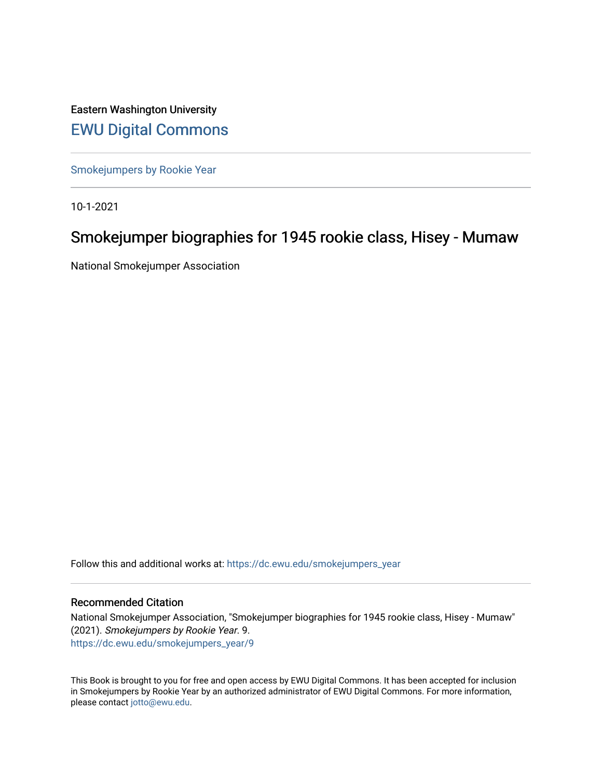Eastern Washington University [EWU Digital Commons](https://dc.ewu.edu/)

[Smokejumpers by Rookie Year](https://dc.ewu.edu/smokejumpers_year)

10-1-2021

# Smokejumper biographies for 1945 rookie class, Hisey - Mumaw

National Smokejumper Association

Follow this and additional works at: [https://dc.ewu.edu/smokejumpers\\_year](https://dc.ewu.edu/smokejumpers_year?utm_source=dc.ewu.edu%2Fsmokejumpers_year%2F9&utm_medium=PDF&utm_campaign=PDFCoverPages) 

#### Recommended Citation

National Smokejumper Association, "Smokejumper biographies for 1945 rookie class, Hisey - Mumaw" (2021). Smokejumpers by Rookie Year. 9. [https://dc.ewu.edu/smokejumpers\\_year/9](https://dc.ewu.edu/smokejumpers_year/9?utm_source=dc.ewu.edu%2Fsmokejumpers_year%2F9&utm_medium=PDF&utm_campaign=PDFCoverPages)

This Book is brought to you for free and open access by EWU Digital Commons. It has been accepted for inclusion in Smokejumpers by Rookie Year by an authorized administrator of EWU Digital Commons. For more information, please contact [jotto@ewu.edu](mailto:jotto@ewu.edu).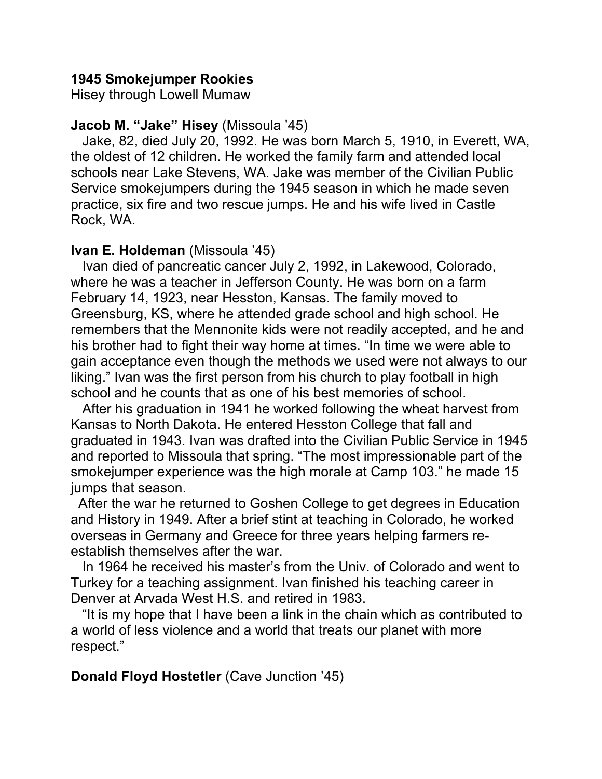## **1945 Smokejumper Rookies**

Hisey through Lowell Mumaw

## **Jacob M. "Jake" Hisey** (Missoula '45)

 Jake, 82, died July 20, 1992. He was born March 5, 1910, in Everett, WA, the oldest of 12 children. He worked the family farm and attended local schools near Lake Stevens, WA. Jake was member of the Civilian Public Service smokejumpers during the 1945 season in which he made seven practice, six fire and two rescue jumps. He and his wife lived in Castle Rock, WA.

## **Ivan E. Holdeman** (Missoula '45)

 Ivan died of pancreatic cancer July 2, 1992, in Lakewood, Colorado, where he was a teacher in Jefferson County. He was born on a farm February 14, 1923, near Hesston, Kansas. The family moved to Greensburg, KS, where he attended grade school and high school. He remembers that the Mennonite kids were not readily accepted, and he and his brother had to fight their way home at times. "In time we were able to gain acceptance even though the methods we used were not always to our liking." Ivan was the first person from his church to play football in high school and he counts that as one of his best memories of school.

 After his graduation in 1941 he worked following the wheat harvest from Kansas to North Dakota. He entered Hesston College that fall and graduated in 1943. Ivan was drafted into the Civilian Public Service in 1945 and reported to Missoula that spring. "The most impressionable part of the smokejumper experience was the high morale at Camp 103." he made 15 jumps that season.

 After the war he returned to Goshen College to get degrees in Education and History in 1949. After a brief stint at teaching in Colorado, he worked overseas in Germany and Greece for three years helping farmers reestablish themselves after the war.

 In 1964 he received his master's from the Univ. of Colorado and went to Turkey for a teaching assignment. Ivan finished his teaching career in Denver at Arvada West H.S. and retired in 1983.

 "It is my hope that I have been a link in the chain which as contributed to a world of less violence and a world that treats our planet with more respect."

**Donald Floyd Hostetler** (Cave Junction '45)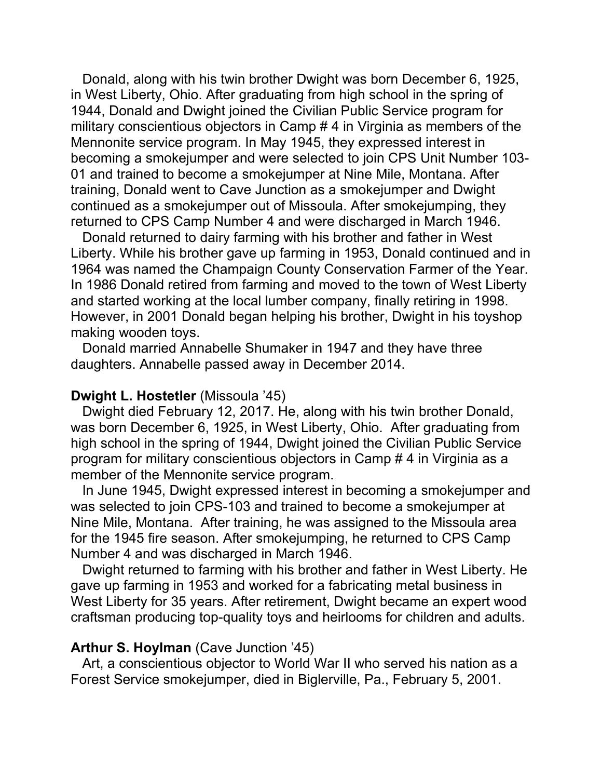Donald, along with his twin brother Dwight was born December 6, 1925, in West Liberty, Ohio. After graduating from high school in the spring of 1944, Donald and Dwight joined the Civilian Public Service program for military conscientious objectors in Camp # 4 in Virginia as members of the Mennonite service program. In May 1945, they expressed interest in becoming a smokejumper and were selected to join CPS Unit Number 103- 01 and trained to become a smokejumper at Nine Mile, Montana. After training, Donald went to Cave Junction as a smokejumper and Dwight continued as a smokejumper out of Missoula. After smokejumping, they returned to CPS Camp Number 4 and were discharged in March 1946.

 Donald returned to dairy farming with his brother and father in West Liberty. While his brother gave up farming in 1953, Donald continued and in 1964 was named the Champaign County Conservation Farmer of the Year. In 1986 Donald retired from farming and moved to the town of West Liberty and started working at the local lumber company, finally retiring in 1998. However, in 2001 Donald began helping his brother, Dwight in his toyshop making wooden toys.

 Donald married Annabelle Shumaker in 1947 and they have three daughters. Annabelle passed away in December 2014.

### **Dwight L. Hostetler** (Missoula '45)

 Dwight died February 12, 2017. He, along with his twin brother Donald, was born December 6, 1925, in West Liberty, Ohio. After graduating from high school in the spring of 1944, Dwight joined the Civilian Public Service program for military conscientious objectors in Camp # 4 in Virginia as a member of the Mennonite service program.

 In June 1945, Dwight expressed interest in becoming a smokejumper and was selected to join CPS-103 and trained to become a smokejumper at Nine Mile, Montana. After training, he was assigned to the Missoula area for the 1945 fire season. After smokejumping, he returned to CPS Camp Number 4 and was discharged in March 1946.

 Dwight returned to farming with his brother and father in West Liberty. He gave up farming in 1953 and worked for a fabricating metal business in West Liberty for 35 years. After retirement, Dwight became an expert wood craftsman producing top-quality toys and heirlooms for children and adults.

#### **Arthur S. Hoylman** (Cave Junction '45)

 Art, a conscientious objector to World War II who served his nation as a Forest Service smokejumper, died in Biglerville, Pa., February 5, 2001.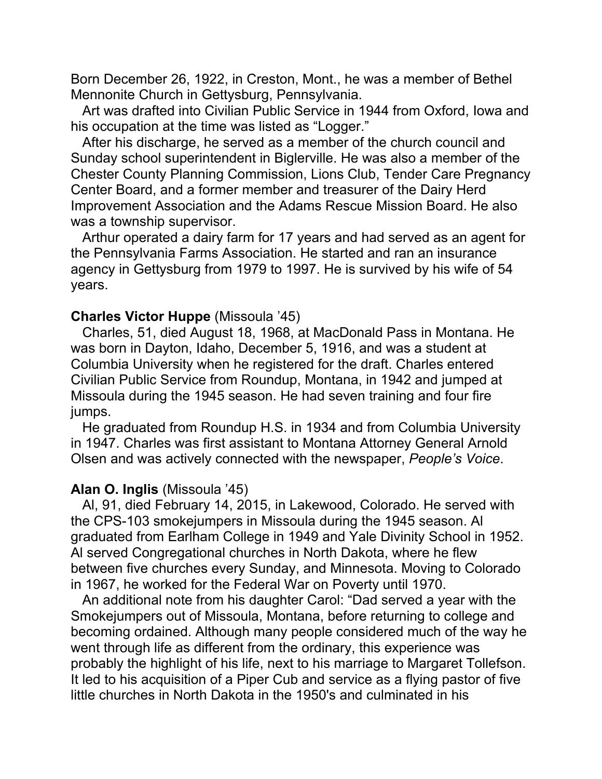Born December 26, 1922, in Creston, Mont., he was a member of Bethel Mennonite Church in Gettysburg, Pennsylvania.

 Art was drafted into Civilian Public Service in 1944 from Oxford, Iowa and his occupation at the time was listed as "Logger."

 After his discharge, he served as a member of the church council and Sunday school superintendent in Biglerville. He was also a member of the Chester County Planning Commission, Lions Club, Tender Care Pregnancy Center Board, and a former member and treasurer of the Dairy Herd Improvement Association and the Adams Rescue Mission Board. He also was a township supervisor.

 Arthur operated a dairy farm for 17 years and had served as an agent for the Pennsylvania Farms Association. He started and ran an insurance agency in Gettysburg from 1979 to 1997. He is survived by his wife of 54 years.

#### **Charles Victor Huppe** (Missoula '45)

 Charles, 51, died August 18, 1968, at MacDonald Pass in Montana. He was born in Dayton, Idaho, December 5, 1916, and was a student at Columbia University when he registered for the draft. Charles entered Civilian Public Service from Roundup, Montana, in 1942 and jumped at Missoula during the 1945 season. He had seven training and four fire jumps.

 He graduated from Roundup H.S. in 1934 and from Columbia University in 1947. Charles was first assistant to Montana Attorney General Arnold Olsen and was actively connected with the newspaper, *People's Voice*.

### **Alan O. Inglis** (Missoula '45)

 Al, 91, died February 14, 2015, in Lakewood, Colorado. He served with the CPS-103 smokejumpers in Missoula during the 1945 season. Al graduated from Earlham College in 1949 and Yale Divinity School in 1952. Al served Congregational churches in North Dakota, where he flew between five churches every Sunday, and Minnesota. Moving to Colorado in 1967, he worked for the Federal War on Poverty until 1970.

 An additional note from his daughter Carol: "Dad served a year with the Smokejumpers out of Missoula, Montana, before returning to college and becoming ordained. Although many people considered much of the way he went through life as different from the ordinary, this experience was probably the highlight of his life, next to his marriage to Margaret Tollefson. It led to his acquisition of a Piper Cub and service as a flying pastor of five little churches in North Dakota in the 1950's and culminated in his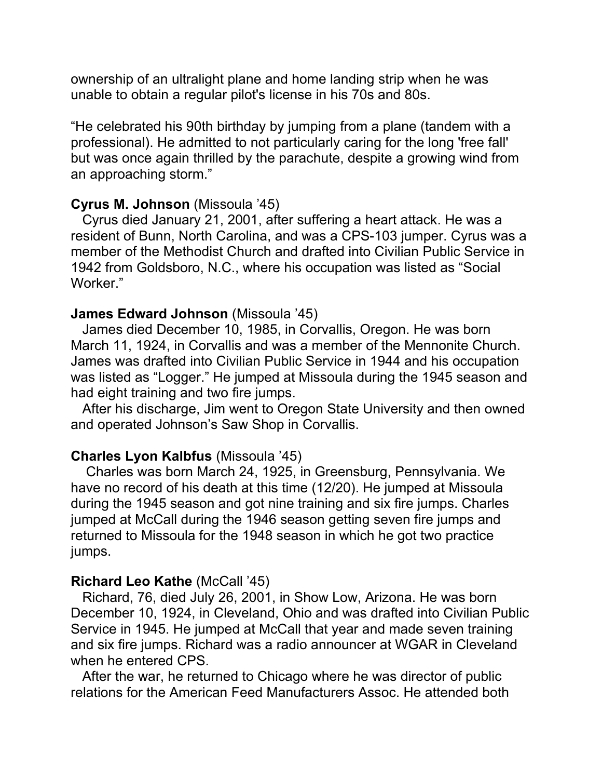ownership of an ultralight plane and home landing strip when he was unable to obtain a regular pilot's license in his 70s and 80s.

"He celebrated his 90th birthday by jumping from a plane (tandem with a professional). He admitted to not particularly caring for the long 'free fall' but was once again thrilled by the parachute, despite a growing wind from an approaching storm."

### **Cyrus M. Johnson** (Missoula '45)

 Cyrus died January 21, 2001, after suffering a heart attack. He was a resident of Bunn, North Carolina, and was a CPS-103 jumper. Cyrus was a member of the Methodist Church and drafted into Civilian Public Service in 1942 from Goldsboro, N.C., where his occupation was listed as "Social Worker."

## **James Edward Johnson** (Missoula '45)

 James died December 10, 1985, in Corvallis, Oregon. He was born March 11, 1924, in Corvallis and was a member of the Mennonite Church. James was drafted into Civilian Public Service in 1944 and his occupation was listed as "Logger." He jumped at Missoula during the 1945 season and had eight training and two fire jumps.

 After his discharge, Jim went to Oregon State University and then owned and operated Johnson's Saw Shop in Corvallis.

### **Charles Lyon Kalbfus** (Missoula '45)

 Charles was born March 24, 1925, in Greensburg, Pennsylvania. We have no record of his death at this time (12/20). He jumped at Missoula during the 1945 season and got nine training and six fire jumps. Charles jumped at McCall during the 1946 season getting seven fire jumps and returned to Missoula for the 1948 season in which he got two practice jumps.

#### **Richard Leo Kathe** (McCall '45)

 Richard, 76, died July 26, 2001, in Show Low, Arizona. He was born December 10, 1924, in Cleveland, Ohio and was drafted into Civilian Public Service in 1945. He jumped at McCall that year and made seven training and six fire jumps. Richard was a radio announcer at WGAR in Cleveland when he entered CPS.

 After the war, he returned to Chicago where he was director of public relations for the American Feed Manufacturers Assoc. He attended both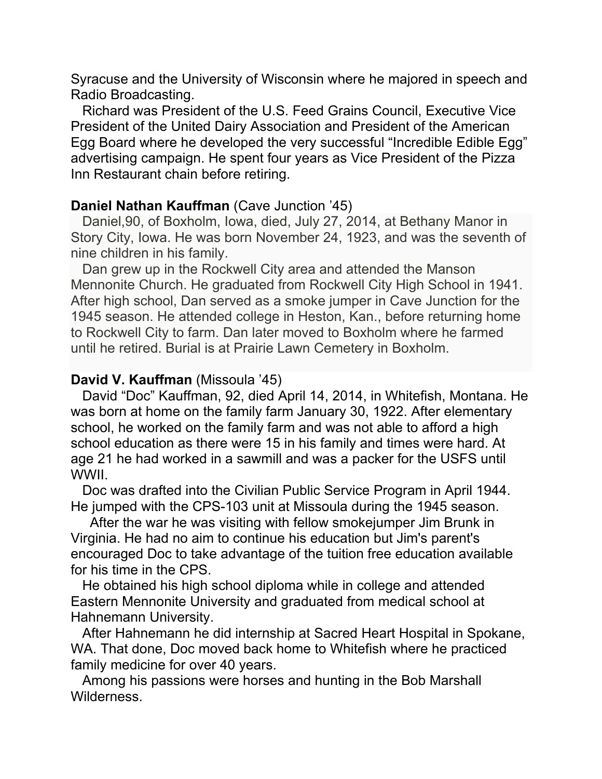Syracuse and the University of Wisconsin where he majored in speech and Radio Broadcasting.

 Richard was President of the U.S. Feed Grains Council, Executive Vice President of the United Dairy Association and President of the American Egg Board where he developed the very successful "Incredible Edible Egg" advertising campaign. He spent four years as Vice President of the Pizza Inn Restaurant chain before retiring.

## **Daniel Nathan Kauffman** (Cave Junction '45)

 Daniel,90, of Boxholm, Iowa, died, July 27, 2014, at Bethany Manor in Story City, Iowa. He was born November 24, 1923, and was the seventh of nine children in his family.

 Dan grew up in the Rockwell City area and attended the Manson Mennonite Church. He graduated from Rockwell City High School in 1941. After high school, Dan served as a smoke jumper in Cave Junction for the 1945 season. He attended college in Heston, Kan., before returning home to Rockwell City to farm. Dan later moved to Boxholm where he farmed until he retired. Burial is at Prairie Lawn Cemetery in Boxholm.

## **David V. Kauffman** (Missoula '45)

 David "Doc" Kauffman, 92, died April 14, 2014, in Whitefish, Montana. He was born at home on the family farm January 30, 1922. After elementary school, he worked on the family farm and was not able to afford a high school education as there were 15 in his family and times were hard. At age 21 he had worked in a sawmill and was a packer for the USFS until WWII.

 Doc was drafted into the Civilian Public Service Program in April 1944. He jumped with the CPS-103 unit at Missoula during the 1945 season.

 After the war he was visiting with fellow smokejumper Jim Brunk in Virginia. He had no aim to continue his education but Jim's parent's encouraged Doc to take advantage of the tuition free education available for his time in the CPS.

 He obtained his high school diploma while in college and attended Eastern Mennonite University and graduated from medical school at Hahnemann University.

 After Hahnemann he did internship at Sacred Heart Hospital in Spokane, WA. That done, Doc moved back home to Whitefish where he practiced family medicine for over 40 years.

 Among his passions were horses and hunting in the Bob Marshall Wilderness.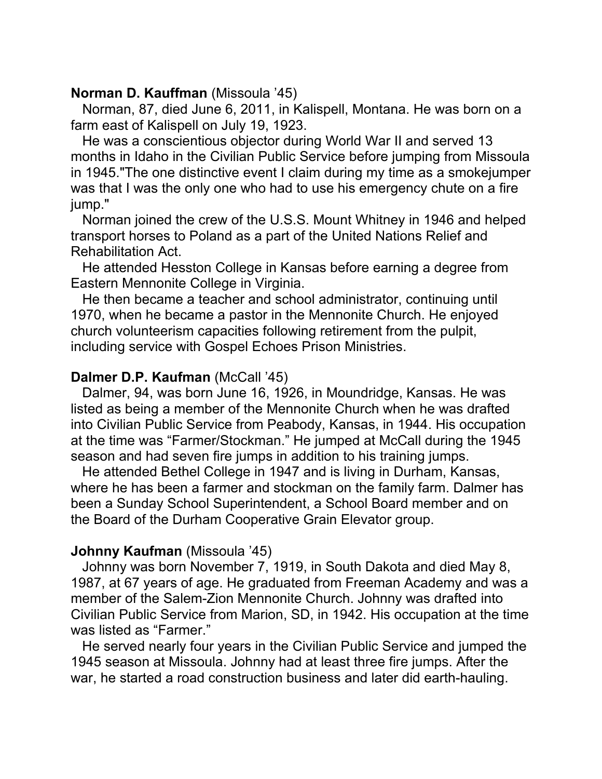## **Norman D. Kauffman** (Missoula '45)

 Norman, 87, died June 6, 2011, in Kalispell, Montana. He was born on a farm east of Kalispell on July 19, 1923.

 He was a conscientious objector during World War II and served 13 months in Idaho in the Civilian Public Service before jumping from Missoula in 1945."The one distinctive event I claim during my time as a smokejumper was that I was the only one who had to use his emergency chute on a fire jump."

 Norman joined the crew of the U.S.S. Mount Whitney in 1946 and helped transport horses to Poland as a part of the United Nations Relief and Rehabilitation Act.

 He attended Hesston College in Kansas before earning a degree from Eastern Mennonite College in Virginia.

 He then became a teacher and school administrator, continuing until 1970, when he became a pastor in the Mennonite Church. He enjoyed church volunteerism capacities following retirement from the pulpit, including service with Gospel Echoes Prison Ministries.

### **Dalmer D.P. Kaufman** (McCall '45)

 Dalmer, 94, was born June 16, 1926, in Moundridge, Kansas. He was listed as being a member of the Mennonite Church when he was drafted into Civilian Public Service from Peabody, Kansas, in 1944. His occupation at the time was "Farmer/Stockman." He jumped at McCall during the 1945 season and had seven fire jumps in addition to his training jumps.

 He attended Bethel College in 1947 and is living in Durham, Kansas, where he has been a farmer and stockman on the family farm. Dalmer has been a Sunday School Superintendent, a School Board member and on the Board of the Durham Cooperative Grain Elevator group.

## **Johnny Kaufman** (Missoula '45)

 Johnny was born November 7, 1919, in South Dakota and died May 8, 1987, at 67 years of age. He graduated from Freeman Academy and was a member of the Salem-Zion Mennonite Church. Johnny was drafted into Civilian Public Service from Marion, SD, in 1942. His occupation at the time was listed as "Farmer."

 He served nearly four years in the Civilian Public Service and jumped the 1945 season at Missoula. Johnny had at least three fire jumps. After the war, he started a road construction business and later did earth-hauling.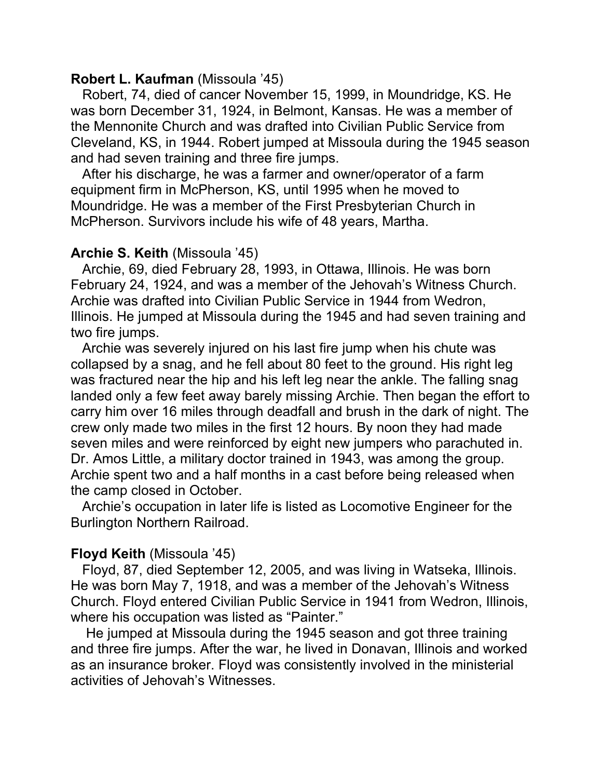### **Robert L. Kaufman** (Missoula '45)

 Robert, 74, died of cancer November 15, 1999, in Moundridge, KS. He was born December 31, 1924, in Belmont, Kansas. He was a member of the Mennonite Church and was drafted into Civilian Public Service from Cleveland, KS, in 1944. Robert jumped at Missoula during the 1945 season and had seven training and three fire jumps.

 After his discharge, he was a farmer and owner/operator of a farm equipment firm in McPherson, KS, until 1995 when he moved to Moundridge. He was a member of the First Presbyterian Church in McPherson. Survivors include his wife of 48 years, Martha.

## **Archie S. Keith** (Missoula '45)

 Archie, 69, died February 28, 1993, in Ottawa, Illinois. He was born February 24, 1924, and was a member of the Jehovah's Witness Church. Archie was drafted into Civilian Public Service in 1944 from Wedron, Illinois. He jumped at Missoula during the 1945 and had seven training and two fire jumps.

 Archie was severely injured on his last fire jump when his chute was collapsed by a snag, and he fell about 80 feet to the ground. His right leg was fractured near the hip and his left leg near the ankle. The falling snag landed only a few feet away barely missing Archie. Then began the effort to carry him over 16 miles through deadfall and brush in the dark of night. The crew only made two miles in the first 12 hours. By noon they had made seven miles and were reinforced by eight new jumpers who parachuted in. Dr. Amos Little, a military doctor trained in 1943, was among the group. Archie spent two and a half months in a cast before being released when the camp closed in October.

 Archie's occupation in later life is listed as Locomotive Engineer for the Burlington Northern Railroad.

# **Floyd Keith** (Missoula '45)

 Floyd, 87, died September 12, 2005, and was living in Watseka, Illinois. He was born May 7, 1918, and was a member of the Jehovah's Witness Church. Floyd entered Civilian Public Service in 1941 from Wedron, Illinois, where his occupation was listed as "Painter."

 He jumped at Missoula during the 1945 season and got three training and three fire jumps. After the war, he lived in Donavan, Illinois and worked as an insurance broker. Floyd was consistently involved in the ministerial activities of Jehovah's Witnesses.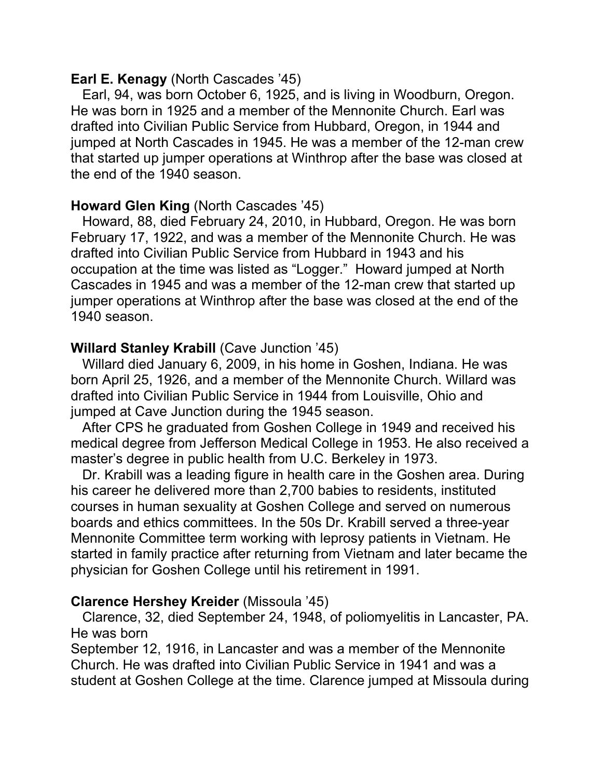## **Earl E. Kenagy** (North Cascades '45)

 Earl, 94, was born October 6, 1925, and is living in Woodburn, Oregon. He was born in 1925 and a member of the Mennonite Church. Earl was drafted into Civilian Public Service from Hubbard, Oregon, in 1944 and jumped at North Cascades in 1945. He was a member of the 12-man crew that started up jumper operations at Winthrop after the base was closed at the end of the 1940 season.

# **Howard Glen King** (North Cascades '45)

 Howard, 88, died February 24, 2010, in Hubbard, Oregon. He was born February 17, 1922, and was a member of the Mennonite Church. He was drafted into Civilian Public Service from Hubbard in 1943 and his occupation at the time was listed as "Logger." Howard jumped at North Cascades in 1945 and was a member of the 12-man crew that started up jumper operations at Winthrop after the base was closed at the end of the 1940 season.

# **Willard Stanley Krabill** (Cave Junction '45)

 Willard died January 6, 2009, in his home in Goshen, Indiana. He was born April 25, 1926, and a member of the Mennonite Church. Willard was drafted into Civilian Public Service in 1944 from Louisville, Ohio and jumped at Cave Junction during the 1945 season.

 After CPS he graduated from Goshen College in 1949 and received his medical degree from Jefferson Medical College in 1953. He also received a master's degree in public health from U.C. Berkeley in 1973.

 Dr. Krabill was a leading figure in health care in the Goshen area. During his career he delivered more than 2,700 babies to residents, instituted courses in human sexuality at Goshen College and served on numerous boards and ethics committees. In the 50s Dr. Krabill served a three-year Mennonite Committee term working with leprosy patients in Vietnam. He started in family practice after returning from Vietnam and later became the physician for Goshen College until his retirement in 1991.

# **Clarence Hershey Kreider** (Missoula '45)

 Clarence, 32, died September 24, 1948, of poliomyelitis in Lancaster, PA. He was born

September 12, 1916, in Lancaster and was a member of the Mennonite Church. He was drafted into Civilian Public Service in 1941 and was a student at Goshen College at the time. Clarence jumped at Missoula during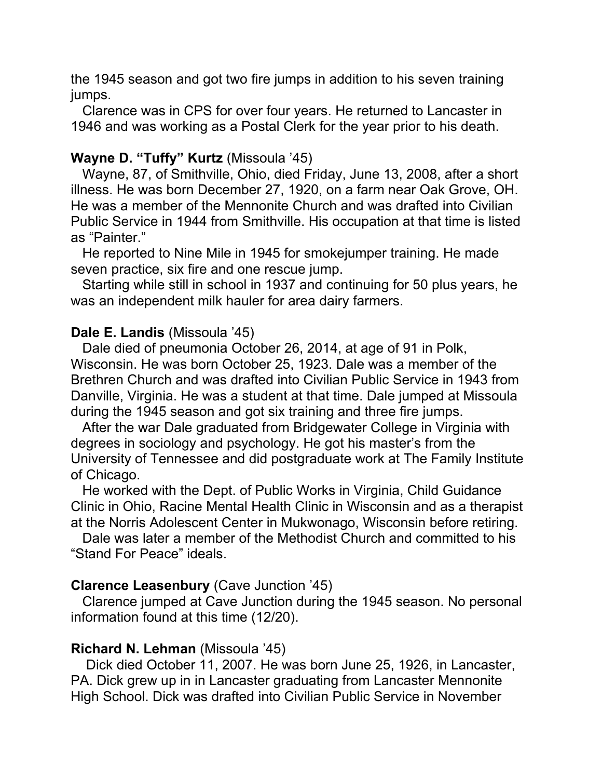the 1945 season and got two fire jumps in addition to his seven training jumps.

 Clarence was in CPS for over four years. He returned to Lancaster in 1946 and was working as a Postal Clerk for the year prior to his death.

## **Wayne D. "Tuffy" Kurtz** (Missoula '45)

 Wayne, 87, of Smithville, Ohio, died Friday, June 13, 2008, after a short illness. He was born December 27, 1920, on a farm near Oak Grove, OH. He was a member of the Mennonite Church and was drafted into Civilian Public Service in 1944 from Smithville. His occupation at that time is listed as "Painter."

 He reported to Nine Mile in 1945 for smokejumper training. He made seven practice, six fire and one rescue jump.

 Starting while still in school in 1937 and continuing for 50 plus years, he was an independent milk hauler for area dairy farmers.

## **Dale E. Landis** (Missoula '45)

 Dale died of pneumonia October 26, 2014, at age of 91 in Polk, Wisconsin. He was born October 25, 1923. Dale was a member of the Brethren Church and was drafted into Civilian Public Service in 1943 from Danville, Virginia. He was a student at that time. Dale jumped at Missoula during the 1945 season and got six training and three fire jumps.

 After the war Dale graduated from Bridgewater College in Virginia with degrees in sociology and psychology. He got his master's from the University of Tennessee and did postgraduate work at The Family Institute of Chicago.

 He worked with the Dept. of Public Works in Virginia, Child Guidance Clinic in Ohio, Racine Mental Health Clinic in Wisconsin and as a therapist at the Norris Adolescent Center in Mukwonago, Wisconsin before retiring.

 Dale was later a member of the Methodist Church and committed to his "Stand For Peace" ideals.

## **Clarence Leasenbury** (Cave Junction '45)

 Clarence jumped at Cave Junction during the 1945 season. No personal information found at this time (12/20).

## **Richard N. Lehman** (Missoula '45)

 Dick died October 11, 2007. He was born June 25, 1926, in Lancaster, PA. Dick grew up in in Lancaster graduating from Lancaster Mennonite High School. Dick was drafted into Civilian Public Service in November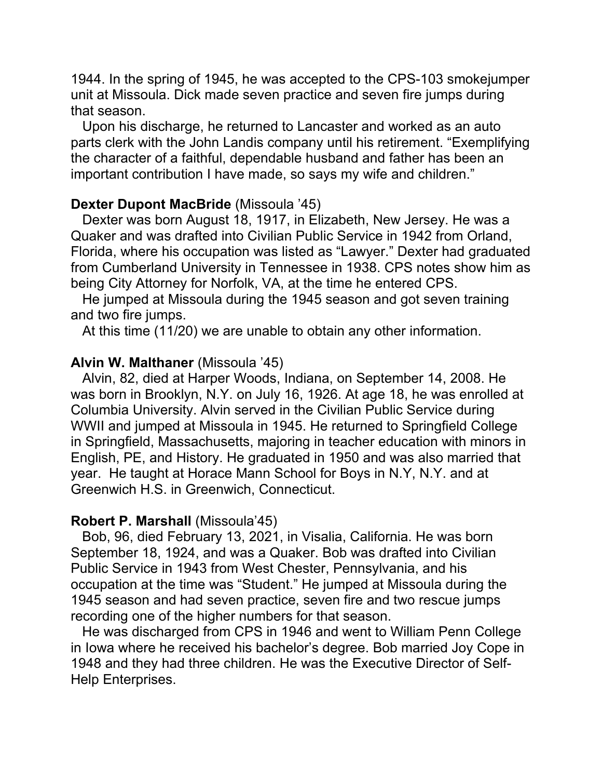1944. In the spring of 1945, he was accepted to the CPS-103 smokejumper unit at Missoula. Dick made seven practice and seven fire jumps during that season.

 Upon his discharge, he returned to Lancaster and worked as an auto parts clerk with the John Landis company until his retirement. "Exemplifying the character of a faithful, dependable husband and father has been an important contribution I have made, so says my wife and children."

## **Dexter Dupont MacBride** (Missoula '45)

 Dexter was born August 18, 1917, in Elizabeth, New Jersey. He was a Quaker and was drafted into Civilian Public Service in 1942 from Orland, Florida, where his occupation was listed as "Lawyer." Dexter had graduated from Cumberland University in Tennessee in 1938. CPS notes show him as being City Attorney for Norfolk, VA, at the time he entered CPS.

 He jumped at Missoula during the 1945 season and got seven training and two fire jumps.

At this time (11/20) we are unable to obtain any other information.

### **Alvin W. Malthaner** (Missoula '45)

 Alvin, 82, died at Harper Woods, Indiana, on September 14, 2008. He was born in Brooklyn, N.Y. on July 16, 1926. At age 18, he was enrolled at Columbia University. Alvin served in the Civilian Public Service during WWII and jumped at Missoula in 1945. He returned to Springfield College in Springfield, Massachusetts, majoring in teacher education with minors in English, PE, and History. He graduated in 1950 and was also married that year. He taught at Horace Mann School for Boys in N.Y, N.Y. and at Greenwich H.S. in Greenwich, Connecticut.

### **Robert P. Marshall** (Missoula'45)

 Bob, 96, died February 13, 2021, in Visalia, California. He was born September 18, 1924, and was a Quaker. Bob was drafted into Civilian Public Service in 1943 from West Chester, Pennsylvania, and his occupation at the time was "Student." He jumped at Missoula during the 1945 season and had seven practice, seven fire and two rescue jumps recording one of the higher numbers for that season.

 He was discharged from CPS in 1946 and went to William Penn College in Iowa where he received his bachelor's degree. Bob married Joy Cope in 1948 and they had three children. He was the Executive Director of Self-Help Enterprises.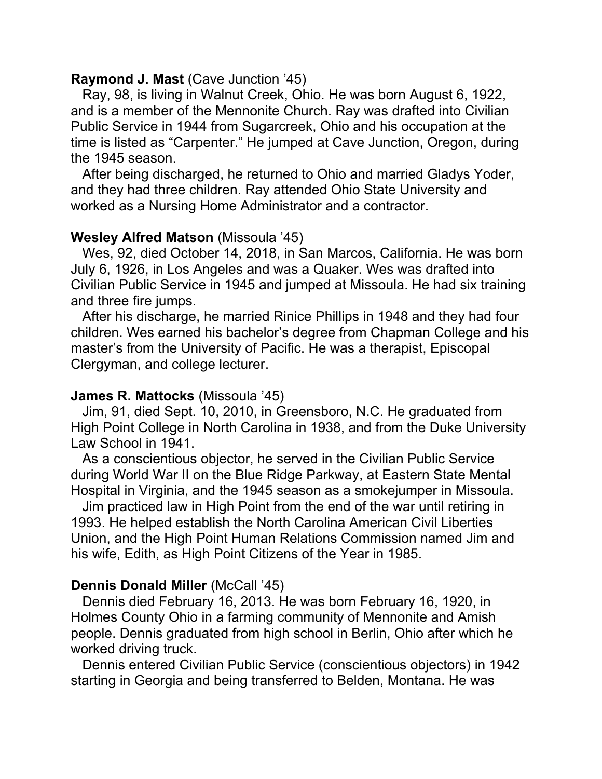### **Raymond J. Mast** (Cave Junction '45)

 Ray, 98, is living in Walnut Creek, Ohio. He was born August 6, 1922, and is a member of the Mennonite Church. Ray was drafted into Civilian Public Service in 1944 from Sugarcreek, Ohio and his occupation at the time is listed as "Carpenter." He jumped at Cave Junction, Oregon, during the 1945 season.

 After being discharged, he returned to Ohio and married Gladys Yoder, and they had three children. Ray attended Ohio State University and worked as a Nursing Home Administrator and a contractor.

## **Wesley Alfred Matson** (Missoula '45)

 Wes, 92, died October 14, 2018, in San Marcos, California. He was born July 6, 1926, in Los Angeles and was a Quaker. Wes was drafted into Civilian Public Service in 1945 and jumped at Missoula. He had six training and three fire jumps.

 After his discharge, he married Rinice Phillips in 1948 and they had four children. Wes earned his bachelor's degree from Chapman College and his master's from the University of Pacific. He was a therapist, Episcopal Clergyman, and college lecturer.

## **James R. Mattocks** (Missoula '45)

 Jim, 91, died Sept. 10, 2010, in Greensboro, N.C. He graduated from High Point College in North Carolina in 1938, and from the Duke University Law School in 1941.

 As a conscientious objector, he served in the Civilian Public Service during World War II on the Blue Ridge Parkway, at Eastern State Mental Hospital in Virginia, and the 1945 season as a smokejumper in Missoula.

 Jim practiced law in High Point from the end of the war until retiring in 1993. He helped establish the North Carolina American Civil Liberties Union, and the High Point Human Relations Commission named Jim and his wife, Edith, as High Point Citizens of the Year in 1985.

# **Dennis Donald Miller (McCall '45)**

 Dennis died February 16, 2013. He was born February 16, 1920, in Holmes County Ohio in a farming community of Mennonite and Amish people. Dennis graduated from high school in Berlin, Ohio after which he worked driving truck.

 Dennis entered Civilian Public Service (conscientious objectors) in 1942 starting in Georgia and being transferred to Belden, Montana. He was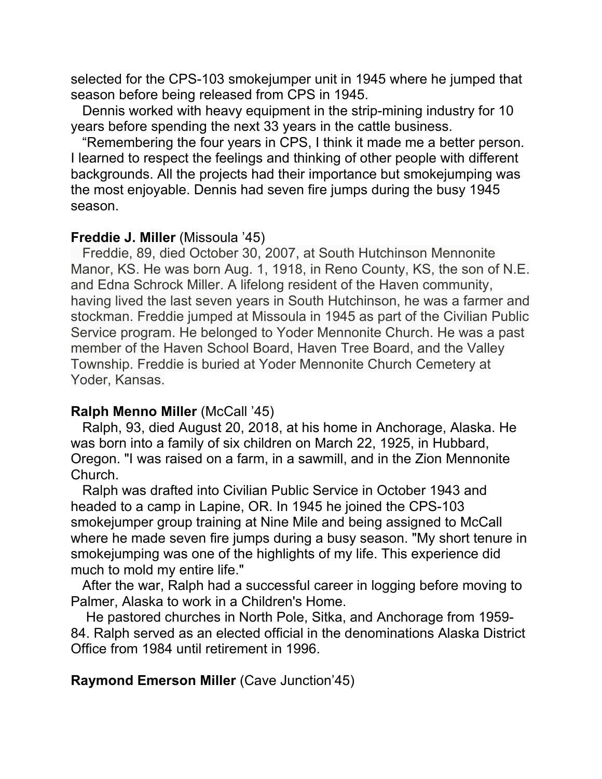selected for the CPS-103 smokejumper unit in 1945 where he jumped that season before being released from CPS in 1945.

 Dennis worked with heavy equipment in the strip-mining industry for 10 years before spending the next 33 years in the cattle business.

 "Remembering the four years in CPS, I think it made me a better person. I learned to respect the feelings and thinking of other people with different backgrounds. All the projects had their importance but smokejumping was the most enjoyable. Dennis had seven fire jumps during the busy 1945 season.

## **Freddie J. Miller** (Missoula '45)

 Freddie, 89, died October 30, 2007, at South Hutchinson Mennonite Manor, KS. He was born Aug. 1, 1918, in Reno County, KS, the son of N.E. and Edna Schrock Miller. A lifelong resident of the Haven community, having lived the last seven years in South Hutchinson, he was a farmer and stockman. Freddie jumped at Missoula in 1945 as part of the Civilian Public Service program. He belonged to Yoder Mennonite Church. He was a past member of the Haven School Board, Haven Tree Board, and the Valley Township. Freddie is buried at Yoder Mennonite Church Cemetery at Yoder, Kansas.

## **Ralph Menno Miller** (McCall '45)

 Ralph, 93, died August 20, 2018, at his home in Anchorage, Alaska. He was born into a family of six children on March 22, 1925, in Hubbard, Oregon. "I was raised on a farm, in a sawmill, and in the Zion Mennonite Church.

 Ralph was drafted into Civilian Public Service in October 1943 and headed to a camp in Lapine, OR. In 1945 he joined the CPS-103 smokejumper group training at Nine Mile and being assigned to McCall where he made seven fire jumps during a busy season. "My short tenure in smokejumping was one of the highlights of my life. This experience did much to mold my entire life."

 After the war, Ralph had a successful career in logging before moving to Palmer, Alaska to work in a Children's Home.

 He pastored churches in North Pole, Sitka, and Anchorage from 1959- 84. Ralph served as an elected official in the denominations Alaska District Office from 1984 until retirement in 1996.

# **Raymond Emerson Miller** (Cave Junction'45)